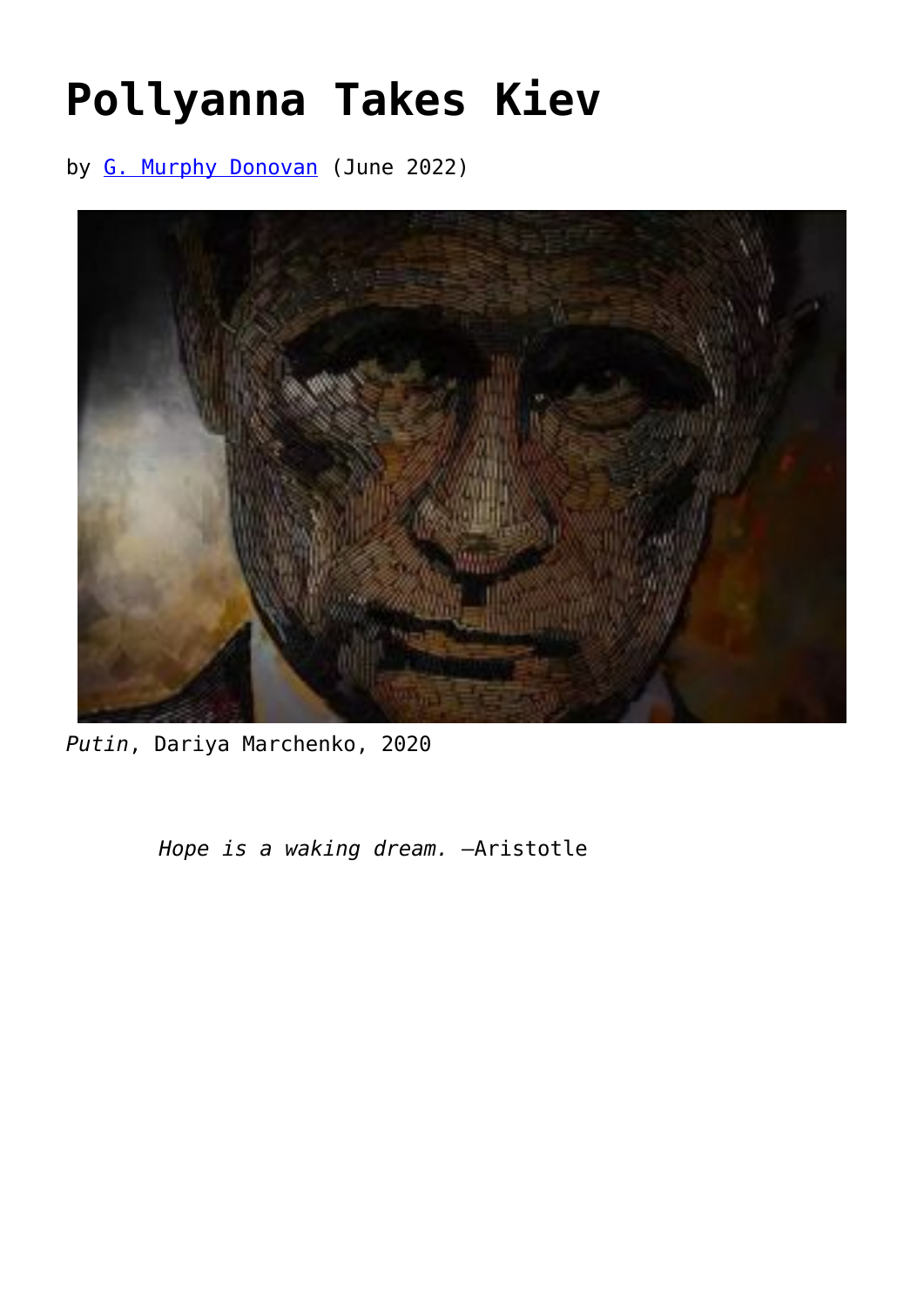## **[Pollyanna Takes Kiev](https://www.newenglishreview.org/articles/pollyanna-takes-kiev/)**

by [G. Murphy Donovan](https://www.newenglishreview.org/authors/g-murphy-donovan/) (June 2022)



*Putin*, Dariya Marchenko, 2020

*Hope is a waking dream.* —Aristotle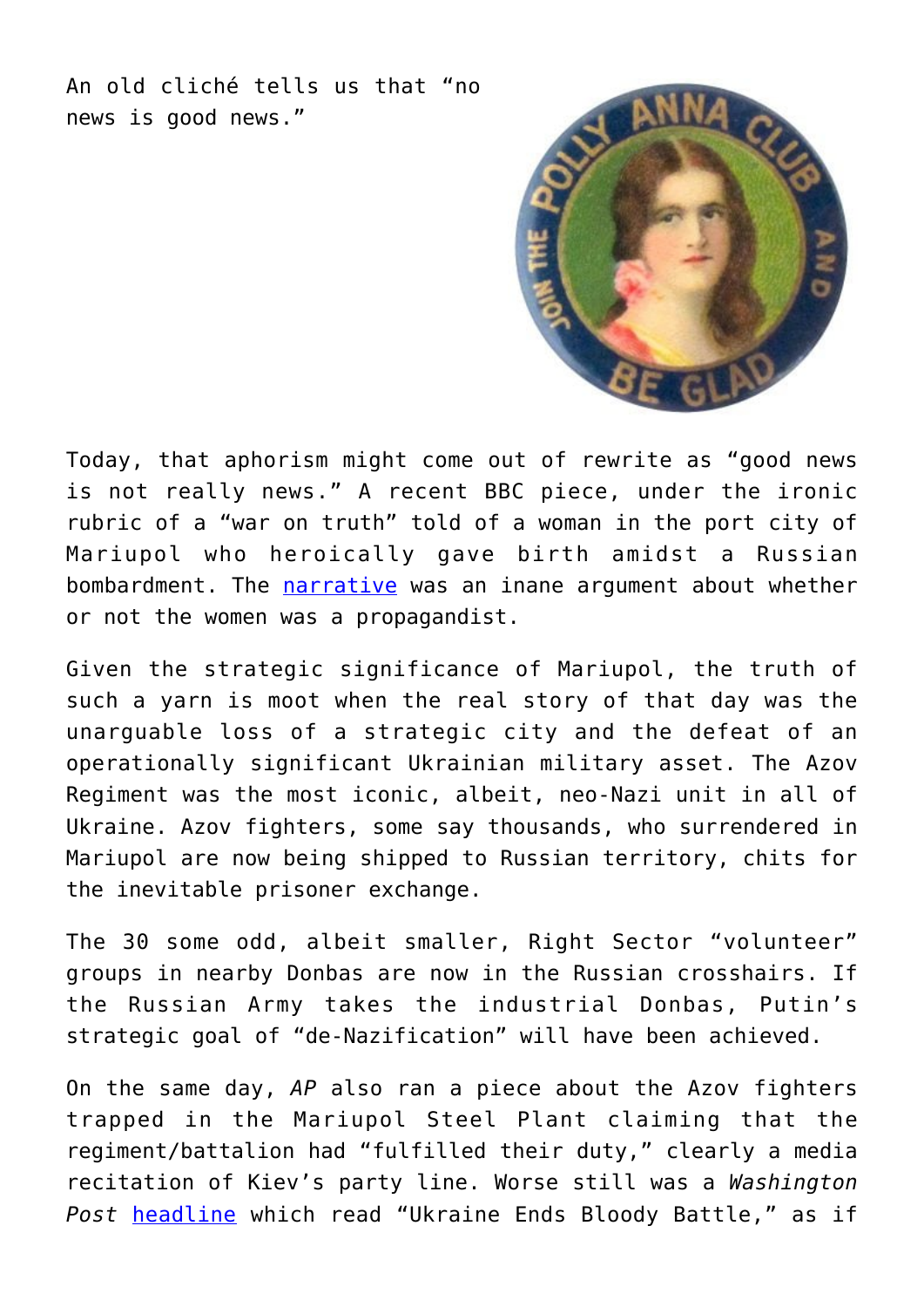An old cliché tells us that "no news is good news."



Today, that aphorism might come out of rewrite as "good news is not really news." A recent BBC piece, under the ironic rubric of a "war on truth" told of a woman in the port city of Mariupol who heroically gave birth amidst a Russian bombardment. The [narrative](https://www.bbc.com/news/world-europe-60715492) was an inane argument about whether or not the women was a propagandist.

Given the strategic significance of Mariupol, the truth of such a yarn is moot when the real story of that day was the unarguable loss of a strategic city and the defeat of an operationally significant Ukrainian military asset. The Azov Regiment was the most iconic, albeit, neo-Nazi unit in all of Ukraine. Azov fighters, some say thousands, who surrendered in Mariupol are now being shipped to Russian territory, chits for the inevitable prisoner exchange.

The 30 some odd, albeit smaller, Right Sector "volunteer" groups in nearby Donbas are now in the Russian crosshairs. If the Russian Army takes the industrial Donbas, Putin's strategic goal of "de-Nazification" will have been achieved.

On the same day, *AP* also ran a piece about the Azov fighters trapped in the Mariupol Steel Plant claiming that the regiment/battalion had "fulfilled their duty," clearly a media recitation of Kiev's party line. Worse still was a *Washington Post* [headline](https://www.washingtonpost.com/world/2022/05/17/azovstal-mariupol-fighters-ukraine-steelworks/) which read "Ukraine Ends Bloody Battle," as if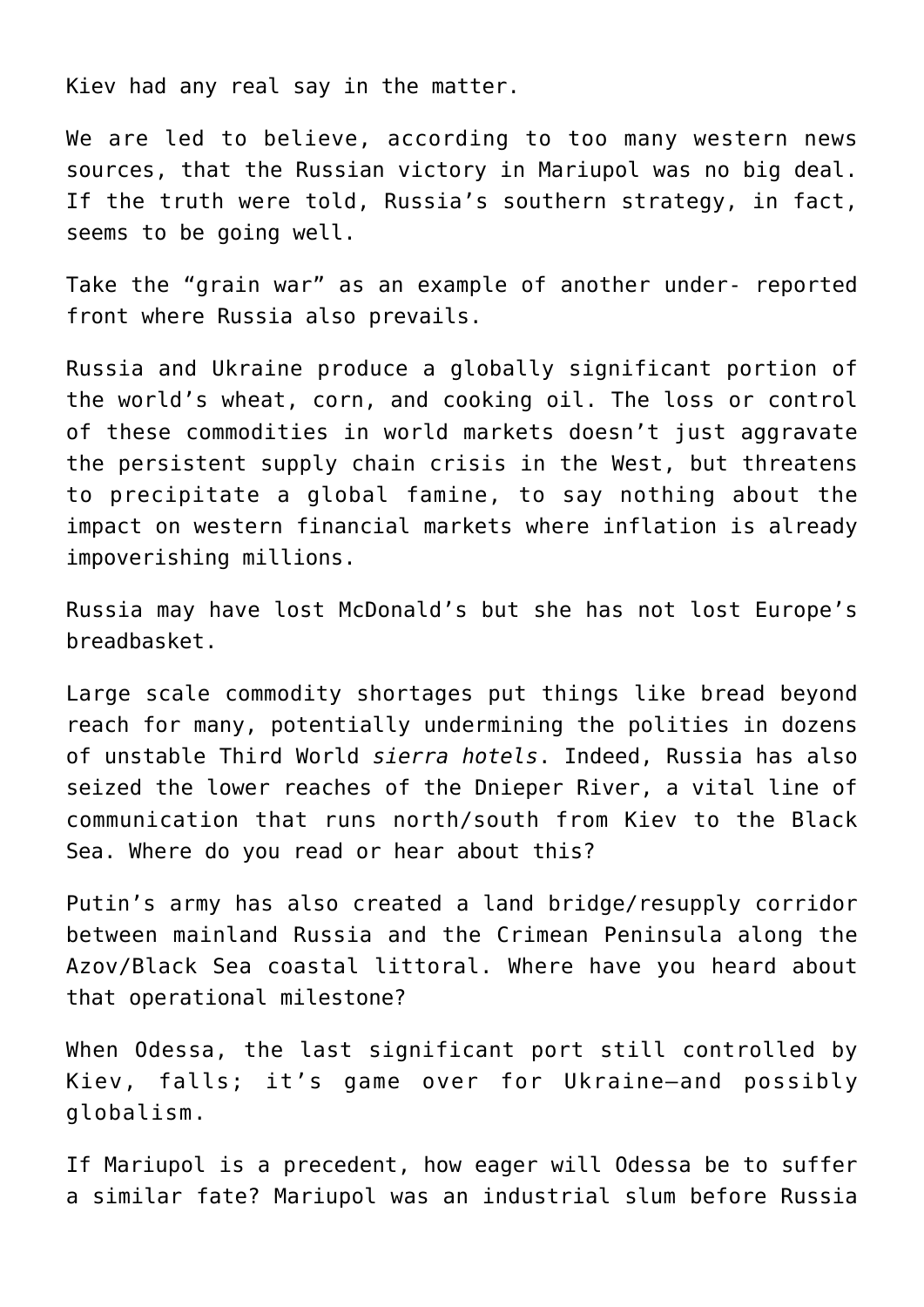Kiev had any real say in the matter.

We are led to believe, according to too many western news sources, that the Russian victory in Mariupol was no big deal. If the truth were told, Russia's southern strategy, in fact, seems to be going well.

Take the "grain war" as an example of another under- reported front where Russia also prevails.

Russia and Ukraine produce a globally significant portion of the world's wheat, corn, and cooking oil. The loss or control of these commodities in world markets doesn't just aggravate the persistent supply chain crisis in the West, but threatens to precipitate a global famine, to say nothing about the impact on western financial markets where inflation is already impoverishing millions.

Russia may have lost McDonald's but she has not lost Europe's breadbasket.

Large scale commodity shortages put things like bread beyond reach for many, potentially undermining the polities in dozens of unstable Third World *sierra hotels*. Indeed, Russia has also seized the lower reaches of the Dnieper River, a vital line of communication that runs north/south from Kiev to the Black Sea. Where do you read or hear about this?

Putin's army has also created a land bridge/resupply corridor between mainland Russia and the Crimean Peninsula along the Azov/Black Sea coastal littoral. Where have you heard about that operational milestone?

When Odessa, the last significant port still controlled by Kiev, falls; it's game over for Ukraine—and possibly globalism.

If Mariupol is a precedent, how eager will Odessa be to suffer a similar fate? Mariupol was an industrial slum before Russia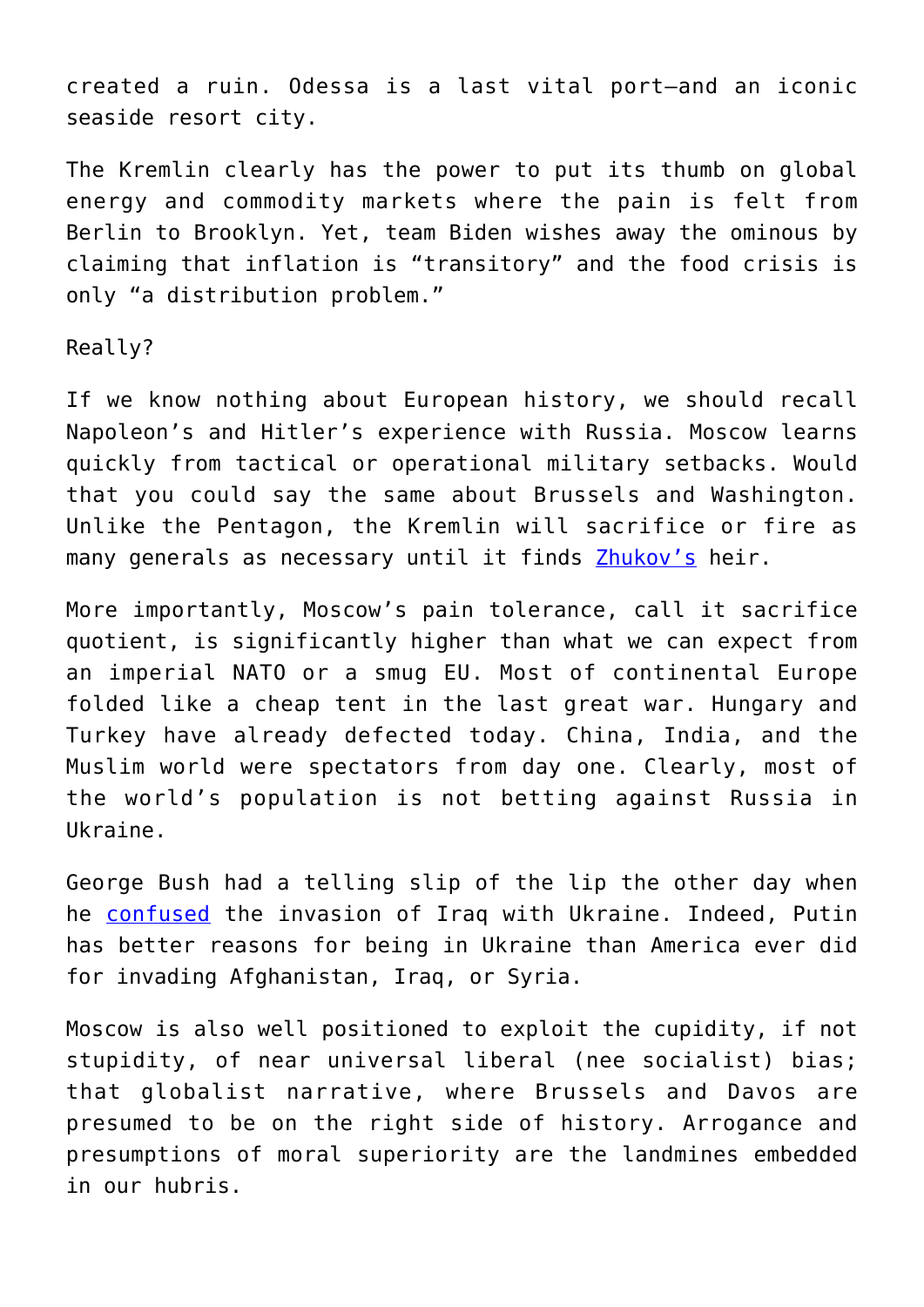created a ruin. Odessa is a last vital port—and an iconic seaside resort city.

The Kremlin clearly has the power to put its thumb on global energy and commodity markets where the pain is felt from Berlin to Brooklyn. Yet, team Biden wishes away the ominous by claiming that inflation is "transitory" and the food crisis is only "a distribution problem."

Really?

If we know nothing about European history, we should recall Napoleon's and Hitler's experience with Russia. Moscow learns quickly from tactical or operational military setbacks. Would that you could say the same about Brussels and Washington. Unlike the Pentagon, the Kremlin will sacrifice or fire as many generals as necessary until it finds [Zhukov's](https://www.britannica.com/summary/Georgy-Zhukov) heir.

More importantly, Moscow's pain tolerance, call it sacrifice quotient, is significantly higher than what we can expect from an imperial NATO or a smug EU. Most of continental Europe folded like a cheap tent in the last great war. Hungary and Turkey have already defected today. China, India, and the Muslim world were spectators from day one. Clearly, most of the world's population is not betting against Russia in Ukraine.

George Bush had a telling slip of the lip the other day when he [confused](https://mail.google.com/mail/u/0/?hl=en&shva=1#inbox/FMfcgzGpFzvCPKZpkWnbmtjVPBnkkHxB) the invasion of Iraq with Ukraine. Indeed, Putin has better reasons for being in Ukraine than America ever did for invading Afghanistan, Iraq, or Syria.

Moscow is also well positioned to exploit the cupidity, if not stupidity, of near universal liberal (nee socialist) bias; that globalist narrative, where Brussels and Davos are presumed to be on the right side of history. Arrogance and presumptions of moral superiority are the landmines embedded in our hubris.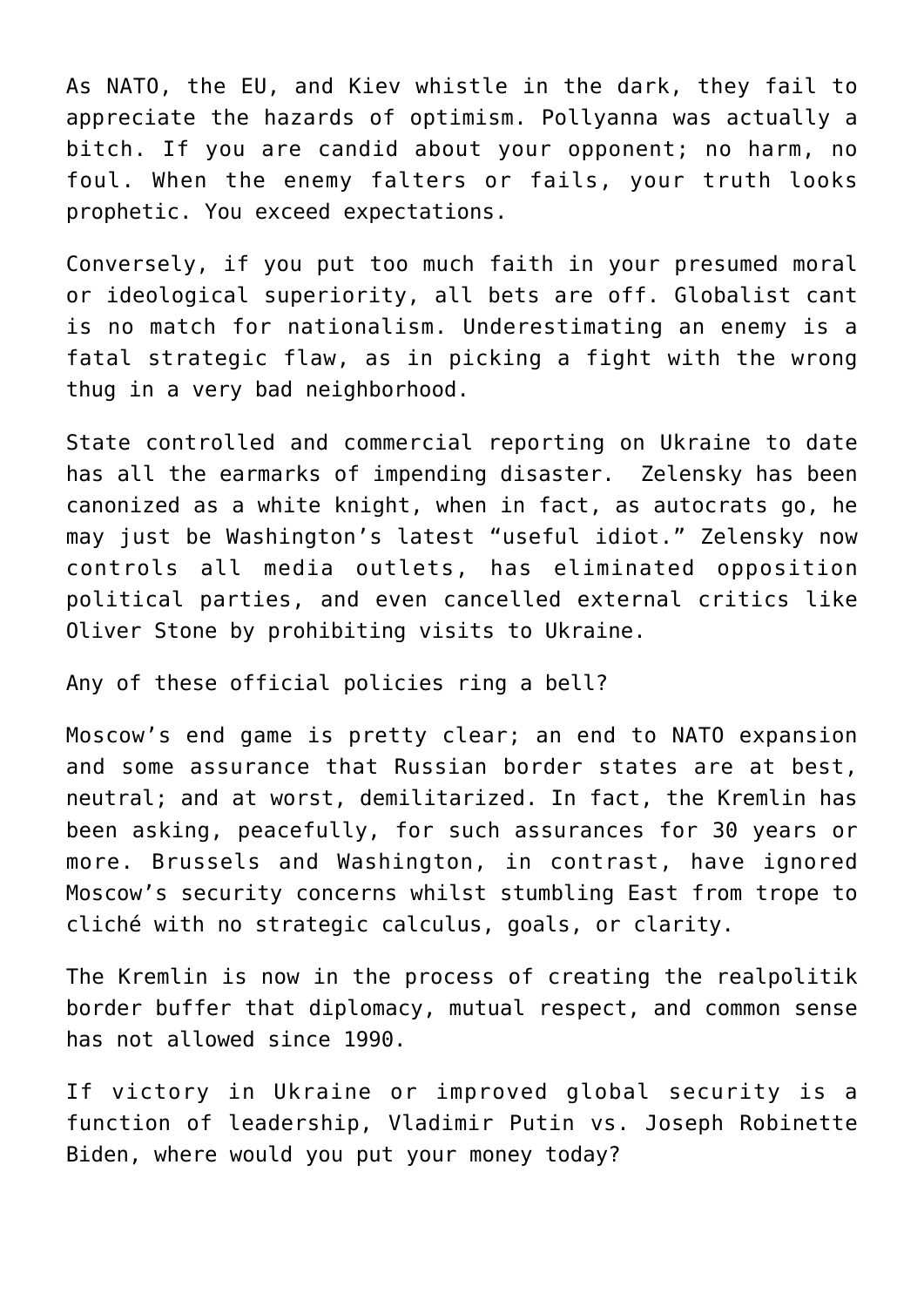As NATO, the EU, and Kiev whistle in the dark, they fail to appreciate the hazards of optimism. Pollyanna was actually a bitch. If you are candid about your opponent; no harm, no foul. When the enemy falters or fails, your truth looks prophetic. You exceed expectations.

Conversely, if you put too much faith in your presumed moral or ideological superiority, all bets are off. Globalist cant is no match for nationalism. Underestimating an enemy is a fatal strategic flaw, as in picking a fight with the wrong thug in a very bad neighborhood.

State controlled and commercial reporting on Ukraine to date has all the earmarks of impending disaster. Zelensky has been canonized as a white knight, when in fact, as autocrats go, he may just be Washington's latest "useful idiot." Zelensky now controls all media outlets, has eliminated opposition political parties, and even cancelled external critics like Oliver Stone by prohibiting visits to Ukraine.

Any of these official policies ring a bell?

Moscow's end game is pretty clear; an end to NATO expansion and some assurance that Russian border states are at best, neutral; and at worst, demilitarized. In fact, the Kremlin has been asking, peacefully, for such assurances for 30 years or more. Brussels and Washington, in contrast, have ignored Moscow's security concerns whilst stumbling East from trope to cliché with no strategic calculus, goals, or clarity.

The Kremlin is now in the process of creating the realpolitik border buffer that diplomacy, mutual respect, and common sense has not allowed since 1990.

If victory in Ukraine or improved global security is a function of leadership, Vladimir Putin vs. Joseph Robinette Biden, where would you put your money today?